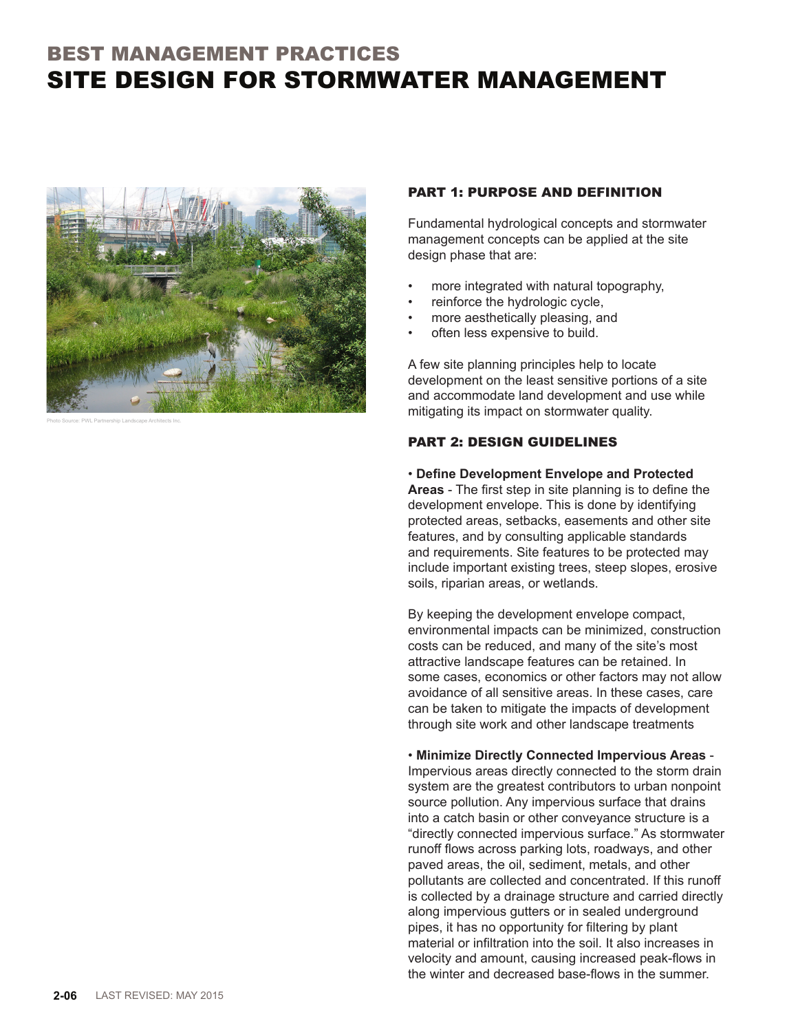## BEST MANAGEMENT PRACTICES SITE DESIGN FOR STORMWATER MANAGEMENT



Photo Source: PWL Partnership Landscape Architects Inc.

## PART 1: PURPOSE AND DEFINITION

Fundamental hydrological concepts and stormwater management concepts can be applied at the site design phase that are:

- more integrated with natural topography,
- reinforce the hydrologic cycle,
- more aesthetically pleasing, and
- often less expensive to build.

A few site planning principles help to locate development on the least sensitive portions of a site and accommodate land development and use while mitigating its impact on stormwater quality.

## PART 2: DESIGN GUIDELINES

## • **Define Development Envelope and Protected**

**Areas** - The first step in site planning is to define the development envelope. This is done by identifying protected areas, setbacks, easements and other site features, and by consulting applicable standards and requirements. Site features to be protected may include important existing trees, steep slopes, erosive soils, riparian areas, or wetlands.

By keeping the development envelope compact, environmental impacts can be minimized, construction costs can be reduced, and many of the site's most attractive landscape features can be retained. In some cases, economics or other factors may not allow avoidance of all sensitive areas. In these cases, care can be taken to mitigate the impacts of development through site work and other landscape treatments

• **Minimize Directly Connected Impervious Areas** - Impervious areas directly connected to the storm drain system are the greatest contributors to urban nonpoint source pollution. Any impervious surface that drains into a catch basin or other conveyance structure is a "directly connected impervious surface." As stormwater runoff flows across parking lots, roadways, and other paved areas, the oil, sediment, metals, and other pollutants are collected and concentrated. If this runoff is collected by a drainage structure and carried directly along impervious gutters or in sealed underground pipes, it has no opportunity for filtering by plant material or infiltration into the soil. It also increases in velocity and amount, causing increased peak-flows in the winter and decreased base-flows in the summer.